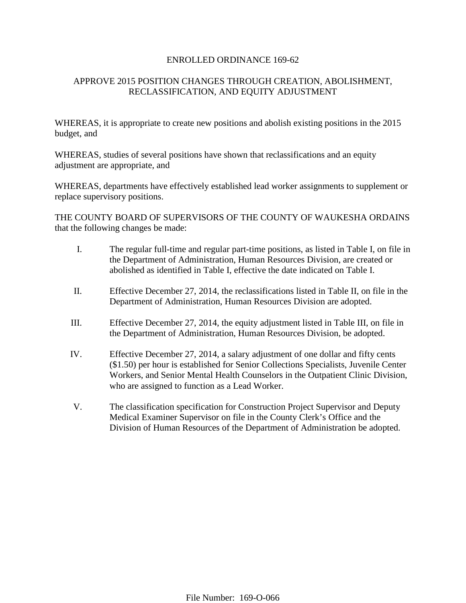#### ENROLLED ORDINANCE 169-62

# APPROVE 2015 POSITION CHANGES THROUGH CREATION, ABOLISHMENT, RECLASSIFICATION, AND EQUITY ADJUSTMENT

WHEREAS, it is appropriate to create new positions and abolish existing positions in the 2015 budget, and

WHEREAS, studies of several positions have shown that reclassifications and an equity adjustment are appropriate, and

WHEREAS, departments have effectively established lead worker assignments to supplement or replace supervisory positions.

THE COUNTY BOARD OF SUPERVISORS OF THE COUNTY OF WAUKESHA ORDAINS that the following changes be made:

- I. The regular full-time and regular part-time positions, as listed in Table I, on file in the Department of Administration, Human Resources Division, are created or abolished as identified in Table I, effective the date indicated on Table I.
- II. Effective December 27, 2014, the reclassifications listed in Table II, on file in the Department of Administration, Human Resources Division are adopted.
- III. Effective December 27, 2014, the equity adjustment listed in Table III, on file in the Department of Administration, Human Resources Division, be adopted.
- IV. Effective December 27, 2014, a salary adjustment of one dollar and fifty cents (\$1.50) per hour is established for Senior Collections Specialists, Juvenile Center Workers, and Senior Mental Health Counselors in the Outpatient Clinic Division, who are assigned to function as a Lead Worker.
- V. The classification specification for Construction Project Supervisor and Deputy Medical Examiner Supervisor on file in the County Clerk's Office and the Division of Human Resources of the Department of Administration be adopted.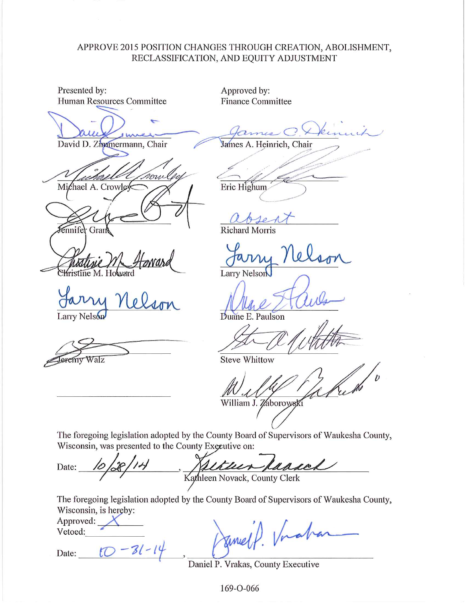### APPROVE 2015 POSITION CHANGES THROUGH CREATION, ABOLISHMENT, RECLASSIFICATION, AND EQUITY ADJUSTMENT

Presented by: Approved by: Human Resources Committee **Finance Committee** David D. Zimmermann, Chair James A. Heinrich, Chair ami Michael A. Crowley Eric Highum **Richard Morris** ennifel Gran Larry Nelson stine M. Howard Duane E. Paulson Larry Nelson

Walz eremy

**Steve Whittow** 

William J. Zaborowski

The foregoing legislation adopted by the County Board of Supervisors of Waukesha County, Wisconsin, was presented to the County Executive on:

Date: Kathleen Novack, County Clerk

The foregoing legislation adopted by the County Board of Supervisors of Waukesha County, Wisconsin, is hereby:

| Approved: |  |
|-----------|--|
| Vetoed:   |  |

 $10 - 31 - 19$ Date:

Inah

Daniel P. Vrakas, County Executive

169-0-066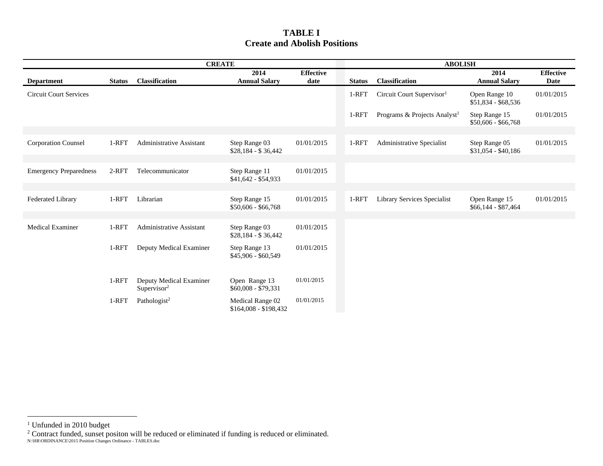### **TABLE I Create and Abolish Positions**

| <b>CREATE</b>                 |               |                                                    |                                           |                          | <b>ABOLISH</b> |                                          |                                      |                                 |
|-------------------------------|---------------|----------------------------------------------------|-------------------------------------------|--------------------------|----------------|------------------------------------------|--------------------------------------|---------------------------------|
| <b>Department</b>             | <b>Status</b> | Classification                                     | 2014<br><b>Annual Salary</b>              | <b>Effective</b><br>date | <b>Status</b>  | Classification                           | 2014<br><b>Annual Salary</b>         | <b>Effective</b><br><b>Date</b> |
| <b>Circuit Court Services</b> |               |                                                    |                                           |                          | $1-RFT$        | Circuit Court Supervisor <sup>1</sup>    | Open Range 10<br>\$51,834 - \$68,536 | 01/01/2015                      |
|                               |               |                                                    |                                           |                          | 1-RFT          | Programs & Projects Analyst <sup>1</sup> | Step Range 15<br>$$50,606 - $66,768$ | 01/01/2015                      |
|                               |               |                                                    |                                           |                          |                |                                          |                                      |                                 |
| <b>Corporation Counsel</b>    | 1-RFT         | <b>Administrative Assistant</b>                    | Step Range 03<br>$$28,184 - $36,442$      | 01/01/2015               | 1-RFT          | Administrative Specialist                | Step Range 05<br>$$31,054 - $40,186$ | 01/01/2015                      |
|                               |               |                                                    |                                           |                          |                |                                          |                                      |                                 |
| <b>Emergency Preparedness</b> | $2-RFT$       | Telecommunicator                                   | Step Range 11<br>$$41,642 - $54,933$      | 01/01/2015               |                |                                          |                                      |                                 |
|                               |               |                                                    |                                           |                          |                |                                          |                                      |                                 |
| <b>Federated Library</b>      | 1-RFT         | Librarian                                          | Step Range 15<br>$$50,606 - $66,768$      | 01/01/2015               | 1-RFT          | Library Services Specialist              | Open Range 15<br>$$66,144 - $87,464$ | 01/01/2015                      |
|                               |               |                                                    |                                           |                          |                |                                          |                                      |                                 |
| <b>Medical Examiner</b>       | 1-RFT         | <b>Administrative Assistant</b>                    | Step Range 03<br>$$28,184 - $36,442$      | 01/01/2015               |                |                                          |                                      |                                 |
|                               | 1-RFT         | Deputy Medical Examiner                            | Step Range 13<br>\$45,906 - \$60,549      | 01/01/2015               |                |                                          |                                      |                                 |
|                               |               |                                                    |                                           |                          |                |                                          |                                      |                                 |
|                               | 1-RFT         | Deputy Medical Examiner<br>Supervisor <sup>2</sup> | Open Range 13<br>$$60,008 - $79,331$      | 01/01/2015               |                |                                          |                                      |                                 |
|                               | 1-RFT         | Pathologist <sup>2</sup>                           | Medical Range 02<br>$$164,008 - $198,432$ | 01/01/2015               |                |                                          |                                      |                                 |

<sup>&</sup>lt;sup>1</sup> Unfunded in 2010 budget

<sup>&</sup>lt;sup>2</sup> Contract funded, sunset positon will be reduced or eliminated if funding is reduced or eliminated.

N:\HR\ORDINANCE\2015 Position Changes Ordinance - TABLES.doc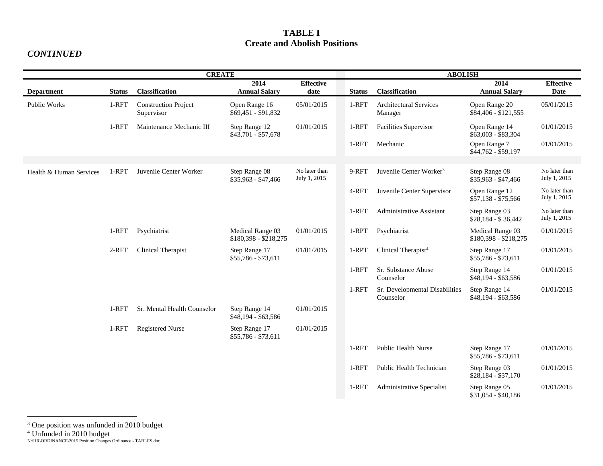### **TABLE I Create and Abolish Positions**

#### *CONTINUED*

| <b>CREATE</b>           |               |                                           |                                           |                               | <b>ABOLISH</b> |                                             |                                           |                                 |
|-------------------------|---------------|-------------------------------------------|-------------------------------------------|-------------------------------|----------------|---------------------------------------------|-------------------------------------------|---------------------------------|
| <b>Department</b>       | <b>Status</b> | Classification                            | 2014<br><b>Annual Salary</b>              | <b>Effective</b><br>date      | <b>Status</b>  | Classification                              | 2014<br><b>Annual Salary</b>              | <b>Effective</b><br><b>Date</b> |
| <b>Public Works</b>     | 1-RFT         | <b>Construction Project</b><br>Supervisor | Open Range 16<br>$$69,451 - $91,832$      | 05/01/2015                    | 1-RFT          | <b>Architectural Services</b><br>Manager    | Open Range 20<br>\$84,406 - \$121,555     | 05/01/2015                      |
|                         | 1-RFT         | Maintenance Mechanic III                  | Step Range 12<br>\$43,701 - \$57,678      | 01/01/2015                    | 1-RFT          | <b>Facilities Supervisor</b>                | Open Range 14<br>\$63,003 - \$83,304      | 01/01/2015                      |
|                         |               |                                           |                                           |                               | 1-RFT          | Mechanic                                    | Open Range 7<br>\$44,762 - \$59,197       | 01/01/2015                      |
|                         |               |                                           |                                           |                               |                |                                             |                                           |                                 |
| Health & Human Services | 1-RPT         | Juvenile Center Worker                    | Step Range 08<br>$$35,963 - $47,466$      | No later than<br>July 1, 2015 | 9-RFT          | Juvenile Center Worker <sup>3</sup>         | Step Range 08<br>\$35,963 - \$47,466      | No later than<br>July 1, 2015   |
|                         |               |                                           |                                           |                               | 4-RFT          | Juvenile Center Supervisor                  | Open Range 12<br>$$57,138 - $75,566$      | No later than<br>July 1, 2015   |
|                         |               |                                           |                                           |                               | 1-RFT          | Administrative Assistant                    | Step Range 03<br>$$28,184 - $36,442$      | No later than<br>July 1, 2015   |
|                         | 1-RFT         | Psychiatrist                              | Medical Range 03<br>$$180,398 - $218,275$ | 01/01/2015                    | 1-RPT          | Psychiatrist                                | Medical Range 03<br>\$180,398 - \$218,275 | 01/01/2015                      |
|                         | 2-RFT         | Clinical Therapist                        | Step Range 17<br>$$55,786 - $73,611$      | 01/01/2015                    | 1-RPT          | Clinical Therapist <sup>4</sup>             | Step Range 17<br>\$55,786 - \$73,611      | 01/01/2015                      |
|                         |               |                                           |                                           |                               | $1-RFT$        | Sr. Substance Abuse<br>Counselor            | Step Range 14<br>\$48,194 - \$63,586      | 01/01/2015                      |
|                         |               |                                           |                                           |                               | $1-RFT$        | Sr. Developmental Disabilities<br>Counselor | Step Range 14<br>\$48,194 - \$63,586      | 01/01/2015                      |
|                         | 1-RFT         | Sr. Mental Health Counselor               | Step Range 14<br>\$48,194 - \$63,586      | 01/01/2015                    |                |                                             |                                           |                                 |
|                         | 1-RFT         | <b>Registered Nurse</b>                   | Step Range 17<br>\$55,786 - \$73,611      | 01/01/2015                    |                |                                             |                                           |                                 |
|                         |               |                                           |                                           |                               | 1-RFT          | <b>Public Health Nurse</b>                  | Step Range 17<br>\$55,786 - \$73,611      | 01/01/2015                      |
|                         |               |                                           |                                           |                               | 1-RFT          | Public Health Technician                    | Step Range 03<br>\$28,184 - \$37,170      | 01/01/2015                      |
|                         |               |                                           |                                           |                               | 1-RFT          | Administrative Specialist                   | Step Range 05<br>\$31,054 - \$40,186      | 01/01/2015                      |

<sup>&</sup>lt;sup>3</sup> One position was unfunded in 2010 budget

<sup>4</sup> Unfunded in 2010 budget

N:\HR\ORDINANCE\2015 Position Changes Ordinance - TABLES.doc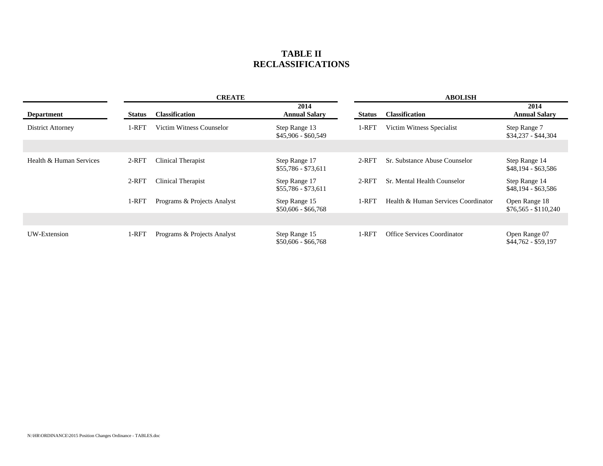### **TABLE II RECLASSIFICATIONS**

|                         | <b>CREATE</b> |                             |                                      |               | <b>ABOLISH</b>                      |                                       |  |  |
|-------------------------|---------------|-----------------------------|--------------------------------------|---------------|-------------------------------------|---------------------------------------|--|--|
| <b>Department</b>       | <b>Status</b> | <b>Classification</b>       | 2014<br><b>Annual Salary</b>         | <b>Status</b> | <b>Classification</b>               | 2014<br><b>Annual Salary</b>          |  |  |
| District Attorney       | 1-RFT         | Victim Witness Counselor    | Step Range 13<br>$$45,906 - $60,549$ | 1-RFT         | Victim Witness Specialist           | Step Range 7<br>$$34,237 - $44,304$   |  |  |
|                         |               |                             |                                      |               |                                     |                                       |  |  |
| Health & Human Services | $2-RFT$       | Clinical Therapist          | Step Range 17<br>$$55,786 - $73,611$ | $2$ -RFT      | Sr. Substance Abuse Counselor       | Step Range 14<br>\$48,194 - \$63,586  |  |  |
|                         | $2-RFT$       | Clinical Therapist          | Step Range 17<br>$$55,786 - $73,611$ | $2$ -RFT      | Sr. Mental Health Counselor         | Step Range 14<br>\$48,194 - \$63,586  |  |  |
|                         | 1-RFT         | Programs & Projects Analyst | Step Range 15<br>$$50,606 - $66,768$ | 1-RFT         | Health & Human Services Coordinator | Open Range 18<br>$$76,565 - $110,240$ |  |  |
|                         |               |                             |                                      |               |                                     |                                       |  |  |
| UW-Extension            | 1-RFT         | Programs & Projects Analyst | Step Range 15<br>$$50,606 - $66,768$ | $1-RFT$       | <b>Office Services Coordinator</b>  | Open Range 07<br>$$44,762 - $59,197$  |  |  |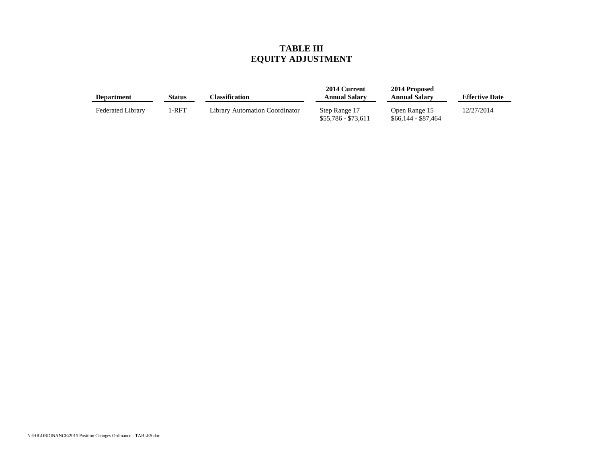## **TABLE III EQUITY ADJUSTMENT**

| <b>Department</b>        | Status | Classification                 | 2014 Current<br><b>Annual Salary</b> | 2014 Proposed<br><b>Annual Salary</b> | <b>Effective Date</b> |
|--------------------------|--------|--------------------------------|--------------------------------------|---------------------------------------|-----------------------|
| <b>Federated Library</b> | I-RFT  | Library Automation Coordinator | Step Range 17<br>\$55,786 - \$73,611 | Open Range 15<br>\$66,144 - \$87,464  | 12/27/2014            |